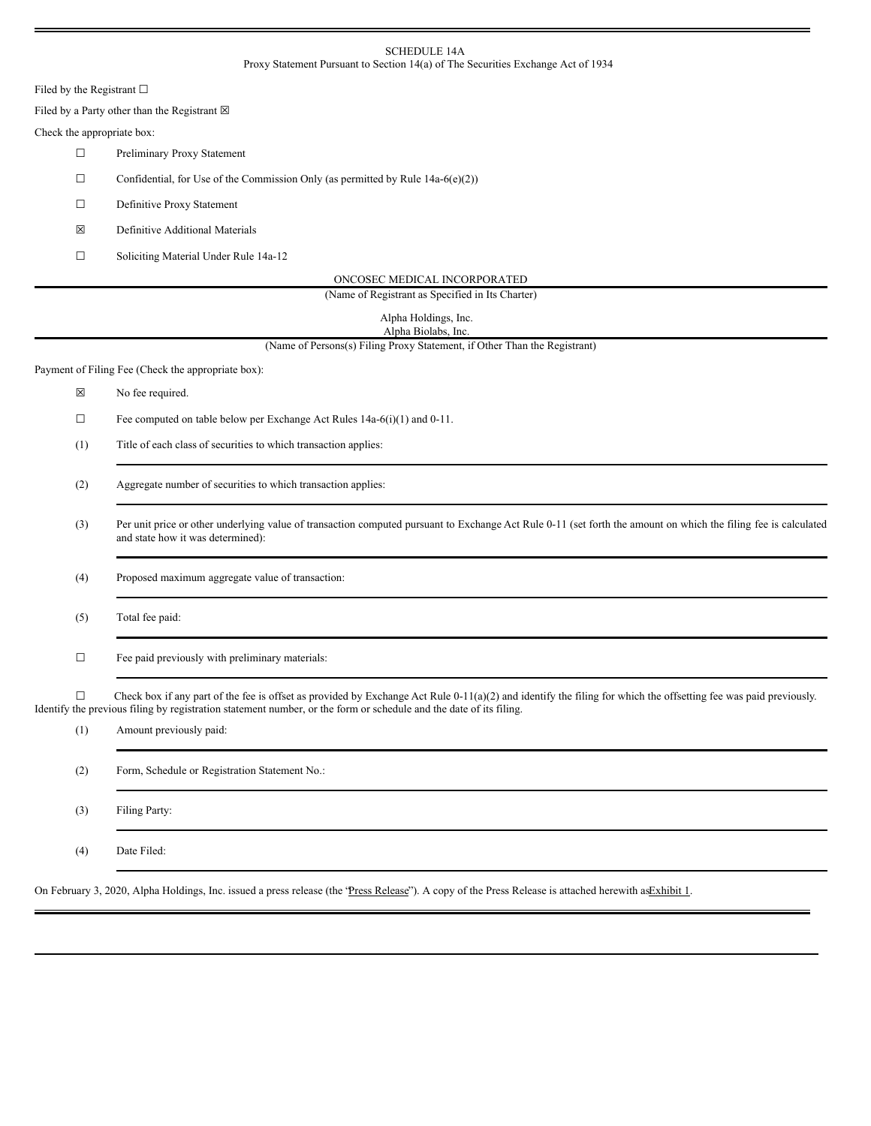### SCHEDULE 14A Proxy Statement Pursuant to Section 14(a) of The Securities Exchange Act of 1934

Filed by the Registrant  $\square$ 

Filed by a Party other than the Registrant  $\boxtimes$ 

## Check the appropriate box:

- ☐ Preliminary Proxy Statement
- $\Box$  Confidential, for Use of the Commission Only (as permitted by Rule 14a-6(e)(2))
- ☐ Definitive Proxy Statement
- ☒ Definitive Additional Materials
- ☐ Soliciting Material Under Rule 14a-12

| ONCOSEC MEDICAL INCORPORATED |  |
|------------------------------|--|
|                              |  |

(Name of Registrant as Specified in Its Charter)

| Alpha Holdings, Inc. |  |
|----------------------|--|
| Alpha Biolabs, Inc.  |  |

(Name of Persons(s) Filing Proxy Statement, if Other Than the Registrant)

Payment of Filing Fee (Check the appropriate box):

- ☒ No fee required.
- $\Box$  Fee computed on table below per Exchange Act Rules 14a-6(i)(1) and 0-11.
- (1) Title of each class of securities to which transaction applies:
- (2) Aggregate number of securities to which transaction applies:
- (3) Per unit price or other underlying value of transaction computed pursuant to Exchange Act Rule 0-11 (set forth the amount on which the filing fee is calculated and state how it was determined):

(4) Proposed maximum aggregate value of transaction:

- (5) Total fee paid:
- ☐ Fee paid previously with preliminary materials:

 $\Box$  Check box if any part of the fee is offset as provided by Exchange Act Rule 0-11(a)(2) and identify the filing for which the offsetting fee was paid previously. Identify the previous filing by registration statement number, or the form or schedule and the date of its filing.

| (1) | Amount previously paid:                       |
|-----|-----------------------------------------------|
| (2) | Form, Schedule or Registration Statement No.: |
| (3) | Filing Party:                                 |
| (4) | Date Filed:                                   |

On February 3, 2020, Alpha Holdings, Inc. issued a press release (the 'Press Release'). A copy of the Press Release is attached herewith as Exhibit 1.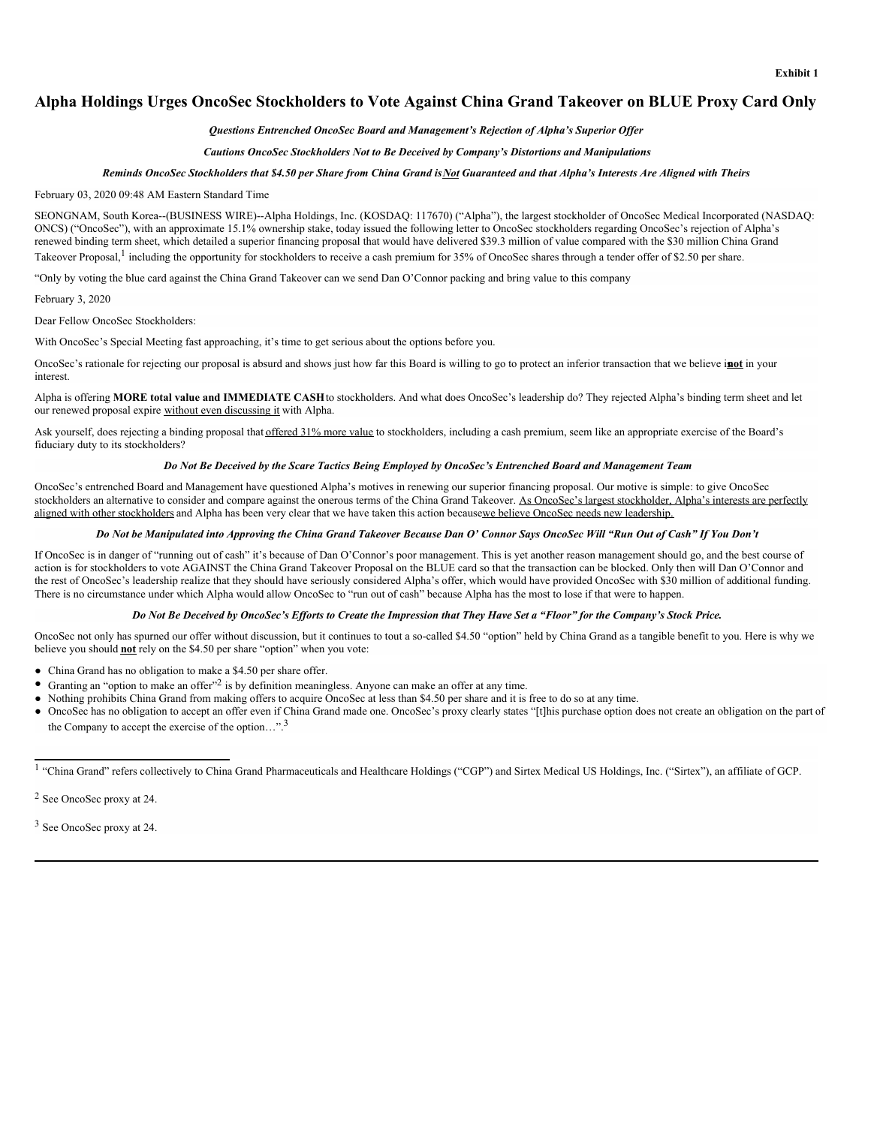# **Alpha Holdings Urges OncoSec Stockholders to Vote Against China Grand Takeover on BLUE Proxy Card Only**

#### *Questions Entrenched OncoSec Board and Management's Rejection of Alpha's Superior Of er*

#### *Cautions OncoSec Stockholders Not to Be Deceived by Company's Distortions and Manipulations*

#### Reminds OncoSec Stockholders that \$4.50 per Share from China Grand is Not Guaranteed and that Alpha's Interests Are Aligned with Theirs

#### February 03, 2020 09:48 AM Eastern Standard Time

SEONGNAM, South Korea--(BUSINESS WIRE)--Alpha Holdings, Inc. (KOSDAQ: 117670) ("Alpha"), the largest stockholder of OncoSec Medical Incorporated (NASDAQ: ONCS) ("OncoSec"), with an approximate 15.1% ownership stake, today issued the following letter to OncoSec stockholders regarding OncoSec's rejection of Alpha's renewed binding term sheet, which detailed a superior financing proposal that would have delivered \$39.3 million of value compared with the \$30 million China Grand Takeover Proposal,<sup>1</sup> including the opportunity for stockholders to receive a cash premium for 35% of OncoSec shares through a tender offer of \$2.50 per share.

"Only by voting the blue card against the China Grand Takeover can we send Dan O'Connor packing and bring value to this company

February 3, 2020

Dear Fellow OncoSec Stockholders:

With OncoSec's Special Meeting fast approaching, it's time to get serious about the options before you.

OncoSec's rationale for rejecting our proposal is absurd and shows just how far this Board is willing to go to protect an inferior transaction that we believe is**not** in your interest.

Alpha is offering **MORE total value and IMMEDIATE CASH**to stockholders. And what does OncoSec's leadership do? They rejected Alpha's binding term sheet and let our renewed proposal expire without even discussing it with Alpha.

Ask yourself, does rejecting a binding proposal that offered 31% more value to stockholders, including a cash premium, seem like an appropriate exercise of the Board's fiduciary duty to its stockholders?

#### *Do Not Be Deceived by the Scare Tactics Being Employed by OncoSec's Entrenched Board and Management Team*

OncoSec's entrenched Board and Management have questioned Alpha's motives in renewing our superior financing proposal. Our motive is simple: to give OncoSec stockholders an alternative to consider and compare against the onerous terms of the China Grand Takeover. As OncoSec's largest stockholder, Alpha's interests are perfectly aligned with other stockholders and Alpha has been very clear that we have taken this action becausewe believe OncoSec needs new leadership.

### Do Not be Manipulated into Approving the China Grand Takeover Because Dan O' Connor Says OncoSec Will "Run Out of Cash" If You Don't

If OncoSec is in danger of "running out of cash" it's because of Dan O'Connor's poor management. This is yet another reason management should go, and the best course of action is for stockholders to vote AGAINST the China Grand Takeover Proposal on the BLUE card so that the transaction can be blocked. Only then will Dan O'Connor and the rest of OncoSec's leadership realize that they should have seriously considered Alpha's offer, which would have provided OncoSec with \$30 million of additional funding. There is no circumstance under which Alpha would allow OncoSec to "run out of cash" because Alpha has the most to lose if that were to happen.

#### Do Not Be Deceived by OncoSec's Efforts to Create the Impression that They Have Set a "Floor" for the Company's Stock Price.

OncoSec not only has spurned our offer without discussion, but it continues to tout a so-called \$4.50 "option" held by China Grand as a tangible benefit to you. Here is why we believe you should **not** rely on the \$4.50 per share "option" when you vote:

- China Grand has no obligation to make a \$4.50 per share offer.
- Granting an "option to make an offer"<sup>2</sup> is by definition meaningless. Anyone can make an offer at any time.
- Nothing prohibits China Grand from making offers to acquire OncoSec at less than \$4.50 per share and it is free to do so at any time.
- OncoSec has no obligation to accept an offer even if China Grand made one. OncoSec's proxy clearly states "[t]his purchase option does not create an obligation on the part of the Company to accept the exercise of the option...".<sup>3</sup>

<sup>2</sup> See OncoSec proxy at 24.

<sup>3</sup> See OncoSec proxy at 24.

<sup>&</sup>lt;sup>1</sup> "China Grand" refers collectively to China Grand Pharmaceuticals and Healthcare Holdings ("CGP") and Sirtex Medical US Holdings, Inc. ("Sirtex"), an affiliate of GCP.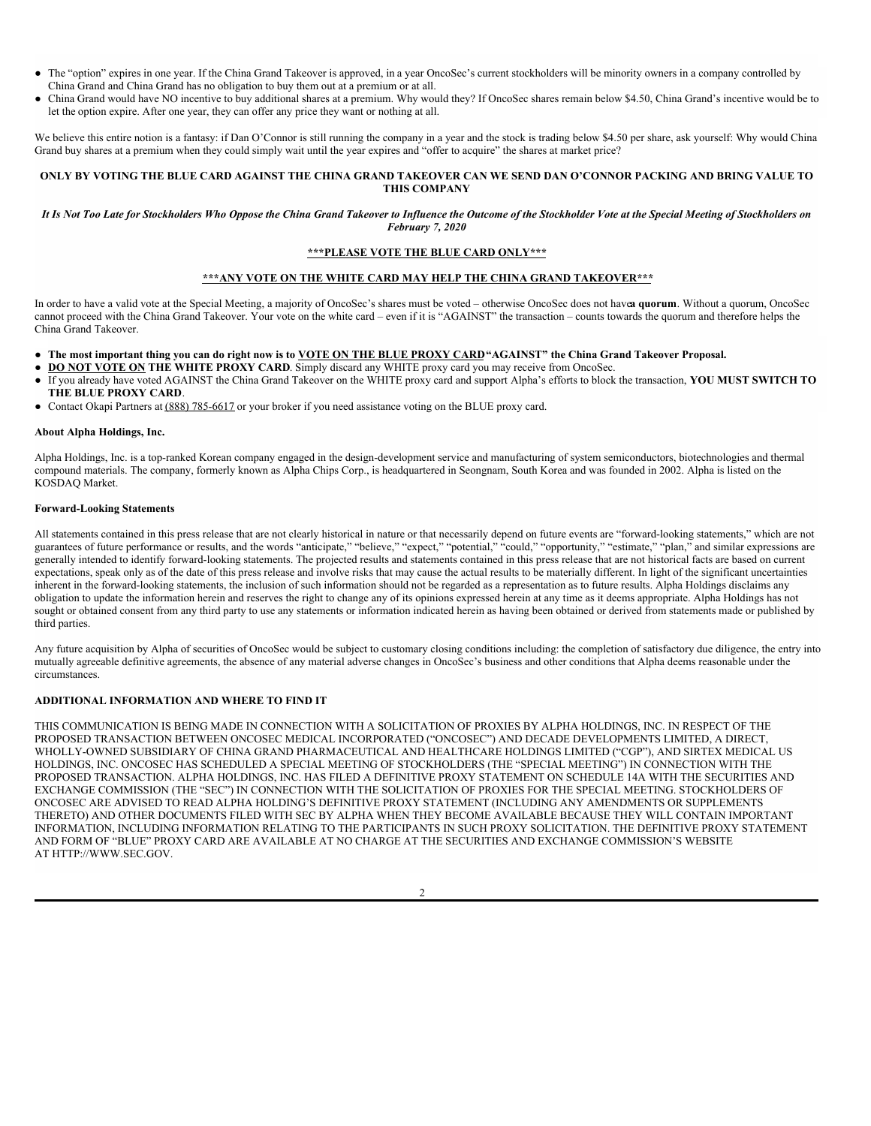- The "option" expires in one year. If the China Grand Takeover is approved, in a year OncoSec's current stockholders will be minority owners in a company controlled by China Grand and China Grand has no obligation to buy them out at a premium or at all.
- China Grand would have NO incentive to buy additional shares at a premium. Why would they? If OncoSec shares remain below \$4.50, China Grand's incentive would be to let the option expire. After one year, they can offer any price they want or nothing at all.

We believe this entire notion is a fantasy: if Dan O'Connor is still running the company in a year and the stock is trading below \$4.50 per share, ask yourself: Why would China Grand buy shares at a premium when they could simply wait until the year expires and "offer to acquire" the shares at market price?

#### ONLY BY VOTING THE BLUE CARD AGAINST THE CHINA GRAND TAKEOVER CAN WE SEND DAN O'CONNOR PACKING AND BRING VALUE TO **THIS COMPANY**

### It Is Not Too Late for Stockholders Who Oppose the China Grand Takeover to Influence the Outcome of the Stockholder Vote at the Special Meeting of Stockholders on *February 7, 2020*

# **\*\*\*PLEASE VOTE THE BLUE CARD ONLY\*\*\***

# **\*\*\*ANY VOTE ON THE WHITE CARD MAY HELP THE CHINA GRAND TAKEOVER\*\*\***

In order to have a valid vote at the Special Meeting, a majority of OncoSec's shares must be voted – otherwise OncoSec does not have**a quorum**. Without a quorum, OncoSec cannot proceed with the China Grand Takeover. Your vote on the white card – even if it is "AGAINST" the transaction – counts towards the quorum and therefore helps the China Grand Takeover.

- The most important thing you can do right now is to VOTE ON THE BLUE PROXY CARD "AGAINST" the China Grand Takeover Proposal.
- **DO NOT VOTE ON THE WHITE PROXY CARD**. Simply discard any WHITE proxy card you may receive from OncoSec.
- If you already have voted AGAINST the China Grand Takeover on the WHITE proxy card and support Alpha's efforts to block the transaction, **YOU MUST SWITCH TO THE BLUE PROXY CARD**.
- Contact Okapi Partners at (888) 785-6617 or your broker if you need assistance voting on the BLUE proxy card.

#### **About Alpha Holdings, Inc.**

Alpha Holdings, Inc. is a top-ranked Korean company engaged in the design-development service and manufacturing of system semiconductors, biotechnologies and thermal compound materials. The company, formerly known as Alpha Chips Corp., is headquartered in Seongnam, South Korea and was founded in 2002. Alpha is listed on the KOSDAQ Market.

#### **Forward-Looking Statements**

All statements contained in this press release that are not clearly historical in nature or that necessarily depend on future events are "forward-looking statements," which are not guarantees of future performance or results, and the words "anticipate," "believe," "expect," "potential," "could," "opportunity," "estimate," "plan," and similar expressions are guarantees of future performance or results generally intended to identify forward-looking statements. The projected results and statements contained in this press release that are not historical facts are based on current expectations, speak only as of the date of this press release and involve risks that may cause the actual results to be materially different. In light of the significant uncertainties inherent in the forward-looking statements, the inclusion of such information should not be regarded as a representation as to future results. Alpha Holdings disclaims any obligation to update the information herein and reserves the right to change any of its opinions expressed herein at any time as it deems appropriate. Alpha Holdings has not sought or obtained consent from any third party to use any statements or information indicated herein as having been obtained or derived from statements made or published by third parties.

Any future acquisition by Alpha of securities of OncoSec would be subject to customary closing conditions including: the completion of satisfactory due diligence, the entry into mutually agreeable definitive agreements, the absence of any material adverse changes in OncoSec's business and other conditions that Alpha deems reasonable under the circumstances.

## **ADDITIONAL INFORMATION AND WHERE TO FIND IT**

THIS COMMUNICATION IS BEING MADE IN CONNECTION WITH A SOLICITATION OF PROXIES BY ALPHA HOLDINGS, INC. IN RESPECT OF THE PROPOSED TRANSACTION BETWEEN ONCOSEC MEDICAL INCORPORATED ("ONCOSEC") AND DECADE DEVELOPMENTS LIMITED, A DIRECT, WHOLLY-OWNED SUBSIDIARY OF CHINA GRAND PHARMACEUTICAL AND HEALTHCARE HOLDINGS LIMITED ("CGP"), AND SIRTEX MEDICAL US HOLDINGS, INC. ONCOSEC HAS SCHEDULED A SPECIAL MEETING OF STOCKHOLDERS (THE "SPECIAL MEETING") IN CONNECTION WITH THE PROPOSED TRANSACTION. ALPHA HOLDINGS, INC. HAS FILED A DEFINITIVE PROXY STATEMENT ON SCHEDULE 14A WITH THE SECURITIES AND EXCHANGE COMMISSION (THE "SEC") IN CONNECTION WITH THE SOLICITATION OF PROXIES FOR THE SPECIAL MEETING. STOCKHOLDERS OF ONCOSEC ARE ADVISED TO READ ALPHA HOLDING'S DEFINITIVE PROXY STATEMENT (INCLUDING ANY AMENDMENTS OR SUPPLEMENTS THERETO) AND OTHER DOCUMENTS FILED WITH SEC BY ALPHA WHEN THEY BECOME AVAILABLE BECAUSE THEY WILL CONTAIN IMPORTANT INFORMATION, INCLUDING INFORMATION RELATING TO THE PARTICIPANTS IN SUCH PROXY SOLICITATION. THE DEFINITIVE PROXY STATEMENT AND FORM OF "BLUE" PROXY CARD ARE AVAILABLE AT NO CHARGE AT THE SECURITIES AND EXCHANGE COMMISSION'S WEBSITE AT HTTP://WWW.SEC.GOV.